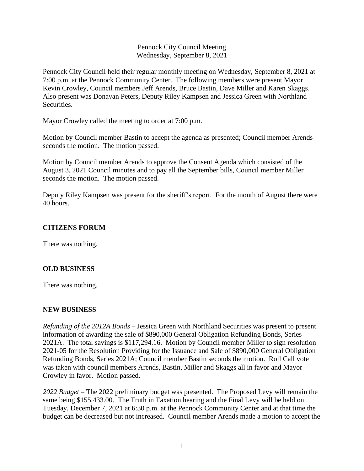### Pennock City Council Meeting Wednesday, September 8, 2021

Pennock City Council held their regular monthly meeting on Wednesday, September 8, 2021 at 7:00 p.m. at the Pennock Community Center. The following members were present Mayor Kevin Crowley, Council members Jeff Arends, Bruce Bastin, Dave Miller and Karen Skaggs. Also present was Donavan Peters, Deputy Riley Kampsen and Jessica Green with Northland Securities.

Mayor Crowley called the meeting to order at 7:00 p.m.

Motion by Council member Bastin to accept the agenda as presented; Council member Arends seconds the motion. The motion passed.

Motion by Council member Arends to approve the Consent Agenda which consisted of the August 3, 2021 Council minutes and to pay all the September bills, Council member Miller seconds the motion. The motion passed.

Deputy Riley Kampsen was present for the sheriff's report. For the month of August there were 40 hours.

# **CITIZENS FORUM**

There was nothing.

### **OLD BUSINESS**

There was nothing.

### **NEW BUSINESS**

*Refunding of the 2012A Bonds –* Jessica Green with Northland Securities was present to present information of awarding the sale of \$890,000 General Obligation Refunding Bonds, Series 2021A. The total savings is \$117,294.16. Motion by Council member Miller to sign resolution 2021-05 for the Resolution Providing for the Issuance and Sale of \$890,000 General Obligation Refunding Bonds, Series 2021A; Council member Bastin seconds the motion. Roll Call vote was taken with council members Arends, Bastin, Miller and Skaggs all in favor and Mayor Crowley in favor. Motion passed.

*2022 Budget –* The 2022 preliminary budget was presented. The Proposed Levy will remain the same being \$155,433.00. The Truth in Taxation hearing and the Final Levy will be held on Tuesday, December 7, 2021 at 6:30 p.m. at the Pennock Community Center and at that time the budget can be decreased but not increased. Council member Arends made a motion to accept the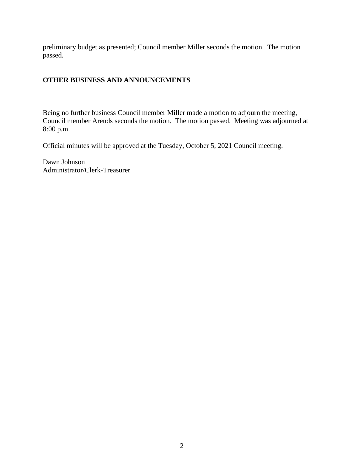preliminary budget as presented; Council member Miller seconds the motion. The motion passed.

## **OTHER BUSINESS AND ANNOUNCEMENTS**

Being no further business Council member Miller made a motion to adjourn the meeting, Council member Arends seconds the motion. The motion passed. Meeting was adjourned at 8:00 p.m.

Official minutes will be approved at the Tuesday, October 5, 2021 Council meeting.

Dawn Johnson Administrator/Clerk-Treasurer